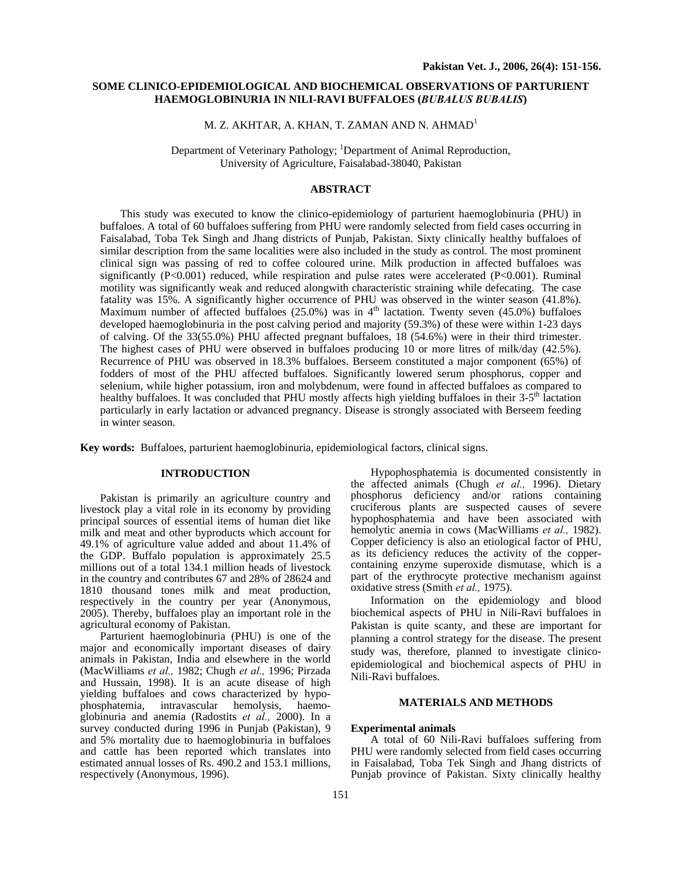# **SOME CLINICO-EPIDEMIOLOGICAL AND BIOCHEMICAL OBSERVATIONS OF PARTURIENT HAEMOGLOBINURIA IN NILI-RAVI BUFFALOES (***BUBALUS BUBALIS***)**

M. Z. AKHTAR, A. KHAN, T. ZAMAN AND N. AHMAD<sup>1</sup>

Department of Veterinary Pathology; <sup>1</sup>Department of Animal Reproduction, University of Agriculture, Faisalabad-38040, Pakistan

# **ABSTRACT**

This study was executed to know the clinico-epidemiology of parturient haemoglobinuria (PHU) in buffaloes. A total of 60 buffaloes suffering from PHU were randomly selected from field cases occurring in Faisalabad, Toba Tek Singh and Jhang districts of Punjab, Pakistan. Sixty clinically healthy buffaloes of similar description from the same localities were also included in the study as control. The most prominent clinical sign was passing of red to coffee coloured urine. Milk production in affected buffaloes was significantly (P<0.001) reduced, while respiration and pulse rates were accelerated (P<0.001). Ruminal motility was significantly weak and reduced alongwith characteristic straining while defecating. The case fatality was 15%. A significantly higher occurrence of PHU was observed in the winter season (41.8%). Maximum number of affected buffaloes (25.0%) was in  $4<sup>th</sup>$  lactation. Twenty seven (45.0%) buffaloes developed haemoglobinuria in the post calving period and majority (59.3%) of these were within 1-23 days of calving. Of the 33(55.0%) PHU affected pregnant buffaloes, 18 (54.6%) were in their third trimester. The highest cases of PHU were observed in buffaloes producing 10 or more litres of milk/day (42.5%). Recurrence of PHU was observed in 18.3% buffaloes. Berseem constituted a major component (65%) of fodders of most of the PHU affected buffaloes. Significantly lowered serum phosphorus, copper and selenium, while higher potassium, iron and molybdenum, were found in affected buffaloes as compared to healthy buffaloes. It was concluded that PHU mostly affects high yielding buffaloes in their 3-5<sup>th</sup> lactation particularly in early lactation or advanced pregnancy. Disease is strongly associated with Berseem feeding in winter season.

**Key words:** Buffaloes, parturient haemoglobinuria, epidemiological factors, clinical signs.

# **INTRODUCTION**

Pakistan is primarily an agriculture country and livestock play a vital role in its economy by providing principal sources of essential items of human diet like milk and meat and other byproducts which account for 49.1% of agriculture value added and about 11.4% of the GDP. Buffalo population is approximately 25.5 millions out of a total 134.1 million heads of livestock in the country and contributes 67 and 28% of 28624 and 1810 thousand tones milk and meat production, respectively in the country per year (Anonymous, 2005). Thereby, buffaloes play an important role in the agricultural economy of Pakistan.

Parturient haemoglobinuria (PHU) is one of the major and economically important diseases of dairy animals in Pakistan, India and elsewhere in the world (MacWilliams *et al.,* 1982; Chugh *et al.,* 1996; Pirzada and Hussain, 1998). It is an acute disease of high yielding buffaloes and cows characterized by hypophosphatemia, intravascular hemolysis, haemoglobinuria and anemia (Radostits *et al.,* 2000). In a survey conducted during 1996 in Punjab (Pakistan), 9 and 5% mortality due to haemoglobinuria in buffaloes and cattle has been reported which translates into estimated annual losses of Rs. 490.2 and 153.1 millions, respectively (Anonymous, 1996).

Hypophosphatemia is documented consistently in the affected animals (Chugh *et al.,* 1996). Dietary phosphorus deficiency and/or rations containing cruciferous plants are suspected causes of severe hypophosphatemia and have been associated with hemolytic anemia in cows (MacWilliams *et al.,* 1982). Copper deficiency is also an etiological factor of PHU, as its deficiency reduces the activity of the coppercontaining enzyme superoxide dismutase, which is a part of the erythrocyte protective mechanism against oxidative stress (Smith *et al.,* 1975).

Information on the epidemiology and blood biochemical aspects of PHU in Nili-Ravi buffaloes in Pakistan is quite scanty, and these are important for planning a control strategy for the disease. The present study was, therefore, planned to investigate clinicoepidemiological and biochemical aspects of PHU in Nili-Ravi buffaloes.

## **MATERIALS AND METHODS**

## **Experimental animals**

A total of 60 Nili-Ravi buffaloes suffering from PHU were randomly selected from field cases occurring in Faisalabad, Toba Tek Singh and Jhang districts of Punjab province of Pakistan. Sixty clinically healthy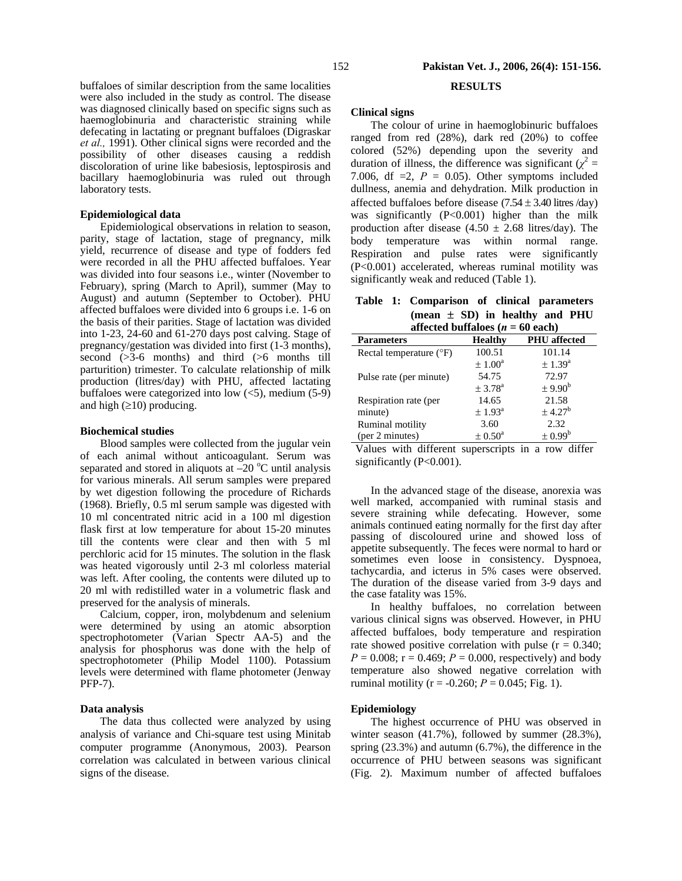buffaloes of similar description from the same localities were also included in the study as control. The disease was diagnosed clinically based on specific signs such as haemoglobinuria and characteristic straining while defecating in lactating or pregnant buffaloes (Digraskar *et al.,* 1991). Other clinical signs were recorded and the possibility of other diseases causing a reddish discoloration of urine like babesiosis, leptospirosis and bacillary haemoglobinuria was ruled out through laboratory tests.

## **Epidemiological data**

Epidemiological observations in relation to season, parity, stage of lactation, stage of pregnancy, milk yield, recurrence of disease and type of fodders fed were recorded in all the PHU affected buffaloes. Year was divided into four seasons i.e., winter (November to February), spring (March to April), summer (May to August) and autumn (September to October). PHU affected buffaloes were divided into 6 groups i.e. 1-6 on the basis of their parities. Stage of lactation was divided into 1-23, 24-60 and 61-270 days post calving. Stage of pregnancy/gestation was divided into first (1-3 months), second (>3-6 months) and third (>6 months till parturition) trimester. To calculate relationship of milk production (litres/day) with PHU, affected lactating buffaloes were categorized into low  $(<5)$ , medium  $(5-9)$ and high  $(\geq 10)$  producing.

#### **Biochemical studies**

Blood samples were collected from the jugular vein of each animal without anticoagulant. Serum was separated and stored in aliquots at  $-20$  °C until analysis for various minerals. All serum samples were prepared by wet digestion following the procedure of Richards (1968). Briefly, 0.5 ml serum sample was digested with 10 ml concentrated nitric acid in a 100 ml digestion flask first at low temperature for about 15-20 minutes till the contents were clear and then with 5 ml perchloric acid for 15 minutes. The solution in the flask was heated vigorously until 2-3 ml colorless material was left. After cooling, the contents were diluted up to 20 ml with redistilled water in a volumetric flask and preserved for the analysis of minerals.

Calcium, copper, iron, molybdenum and selenium were determined by using an atomic absorption spectrophotometer (Varian Spectr AA-5) and the analysis for phosphorus was done with the help of spectrophotometer (Philip Model 1100). Potassium levels were determined with flame photometer (Jenway PFP-7).

## **Data analysis**

The data thus collected were analyzed by using analysis of variance and Chi-square test using Minitab computer programme (Anonymous, 2003). Pearson correlation was calculated in between various clinical signs of the disease.

# **RESULTS**

#### **Clinical signs**

The colour of urine in haemoglobinuric buffaloes ranged from red (28%), dark red (20%) to coffee colored (52%) depending upon the severity and duration of illness, the difference was significant  $(\chi^2 =$ 7.006, df  $=2$ ,  $P = 0.05$ ). Other symptoms included dullness, anemia and dehydration. Milk production in affected buffaloes before disease  $(7.54 \pm 3.40)$  litres /day) was significantly (P<0.001) higher than the milk production after disease  $(4.50 \pm 2.68)$  litres/day). The body temperature was within normal range. Respiration and pulse rates were significantly (P<0.001) accelerated, whereas ruminal motility was significantly weak and reduced (Table 1).

|  | Table 1: Comparison of clinical parameters |
|--|--------------------------------------------|
|  | $mean \pm SD$ in healthy and PHU           |
|  | affected buffaloes ( $n = 60$ each)        |

| $\mu = 00 \text{ cm}$            |                         |                         |  |  |
|----------------------------------|-------------------------|-------------------------|--|--|
| <b>Parameters</b>                | <b>Healthy</b>          | <b>PHU</b> affected     |  |  |
| Rectal temperature $(^{\circ}F)$ | 100.51                  | 101.14                  |  |  |
|                                  | $\pm 1.00^{\circ}$      | $\pm 1.39^{\rm a}$      |  |  |
| Pulse rate (per minute)          | 54.75                   | 72.97                   |  |  |
|                                  | ± 3.78 <sup>a</sup>     | $\pm$ 9.90 <sup>b</sup> |  |  |
| Respiration rate (per            | 14.65                   | 21.58                   |  |  |
| minute)                          | $\pm 1.93$ <sup>a</sup> | $± 4.27^b$              |  |  |
| Ruminal motility                 | 3.60                    | 2.32                    |  |  |
| (per 2 minutes)                  | $\pm 0.50^{\rm a}$      | $\pm 0.99^{\rm b}$      |  |  |

Values with different superscripts in a row differ significantly (P<0.001).

In the advanced stage of the disease, anorexia was well marked, accompanied with ruminal stasis and severe straining while defecating. However, some animals continued eating normally for the first day after passing of discoloured urine and showed loss of appetite subsequently. The feces were normal to hard or sometimes even loose in consistency. Dyspnoea, tachycardia, and icterus in 5% cases were observed. The duration of the disease varied from 3-9 days and the case fatality was 15%.

In healthy buffaloes, no correlation between various clinical signs was observed. However, in PHU affected buffaloes, body temperature and respiration rate showed positive correlation with pulse  $(r = 0.340;$  $P = 0.008$ ;  $r = 0.469$ ;  $P = 0.000$ , respectively) and body temperature also showed negative correlation with ruminal motility ( $r = -0.260$ ;  $P = 0.045$ ; Fig. 1).

## **Epidemiology**

The highest occurrence of PHU was observed in winter season (41.7%), followed by summer (28.3%), spring (23.3%) and autumn (6.7%), the difference in the occurrence of PHU between seasons was significant (Fig. 2). Maximum number of affected buffaloes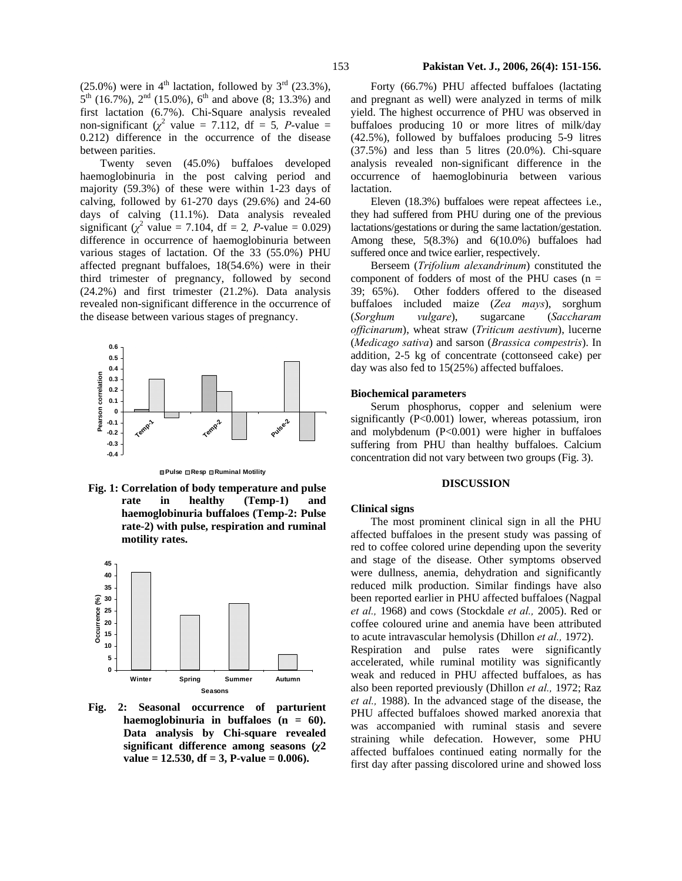(25.0%) were in  $4<sup>th</sup>$  lactation, followed by  $3<sup>rd</sup>$  (23.3%),  $5^{th}$  (16.7%),  $2^{nd}$  (15.0%),  $6^{th}$  and above (8; 13.3%) and first lactation (6.7%). Chi-Square analysis revealed non-significant  $(\chi^2$  value = 7.112, df = 5*, P*-value = 0.212) difference in the occurrence of the disease between parities.

Twenty seven (45.0%) buffaloes developed haemoglobinuria in the post calving period and majority (59.3%) of these were within 1-23 days of calving, followed by 61-270 days (29.6%) and 24-60 days of calving (11.1%). Data analysis revealed significant ( $\chi^2$  value = 7.104, df = 2, *P*-value = 0.029) difference in occurrence of haemoglobinuria between various stages of lactation. Of the 33 (55.0%) PHU affected pregnant buffaloes, 18(54.6%) were in their third trimester of pregnancy, followed by second (24.2%) and first trimester (21.2%). Data analysis revealed non-significant difference in the occurrence of the disease between various stages of pregnancy.



**Pulse Resp Ruminal Motility**

**Fig. 1: Correlation of body temperature and pulse rate in healthy (Temp-1) and haemoglobinuria buffaloes (Temp-2: Pulse rate-2) with pulse, respiration and ruminal motility rates.** 



**Fig. 2: Seasonal occurrence of parturient haemoglobinuria in buffaloes (n = 60). Data analysis by Chi-square revealed significant difference among seasons (***χ***2 value = 12.530, df = 3, P-value = 0.006).** 

# 153 **Pakistan Vet. J., 2006, 26(4): 151-156.**

Forty (66.7%) PHU affected buffaloes (lactating and pregnant as well) were analyzed in terms of milk yield. The highest occurrence of PHU was observed in buffaloes producing 10 or more litres of milk/day (42.5%), followed by buffaloes producing 5-9 litres (37.5%) and less than 5 litres (20.0%). Chi-square analysis revealed non-significant difference in the occurrence of haemoglobinuria between various lactation.

Eleven (18.3%) buffaloes were repeat affectees i.e., they had suffered from PHU during one of the previous lactations/gestations or during the same lactation/gestation. Among these, 5(8.3%) and 6(10.0%) buffaloes had suffered once and twice earlier, respectively.

Berseem (*Trifolium alexandrinum*) constituted the component of fodders of most of the PHU cases  $(n =$ 39; 65%). Other fodders offered to the diseased buffaloes included maize (*Zea mays*), sorghum (*Sorghum vulgare*), sugarcane (*Saccharam officinarum*), wheat straw (*Triticum aestivum*), lucerne (*Medicago sativa*) and sarson (*Brassica compestris*). In addition, 2-5 kg of concentrate (cottonseed cake) per day was also fed to 15(25%) affected buffaloes.

#### **Biochemical parameters**

Serum phosphorus, copper and selenium were significantly (P<0.001) lower, whereas potassium, iron and molybdenum  $(P<0.001)$  were higher in buffaloes suffering from PHU than healthy buffaloes. Calcium concentration did not vary between two groups (Fig. 3).

#### **DISCUSSION**

#### **Clinical signs**

The most prominent clinical sign in all the PHU affected buffaloes in the present study was passing of red to coffee colored urine depending upon the severity and stage of the disease. Other symptoms observed were dullness, anemia, dehydration and significantly reduced milk production. Similar findings have also been reported earlier in PHU affected buffaloes (Nagpal *et al.,* 1968) and cows (Stockdale *et al.,* 2005). Red or coffee coloured urine and anemia have been attributed to acute intravascular hemolysis (Dhillon *et al.,* 1972). Respiration and pulse rates were significantly accelerated, while ruminal motility was significantly weak and reduced in PHU affected buffaloes, as has also been reported previously (Dhillon *et al.,* 1972; Raz *et al.,* 1988). In the advanced stage of the disease, the

PHU affected buffaloes showed marked anorexia that was accompanied with ruminal stasis and severe straining while defecation. However, some PHU affected buffaloes continued eating normally for the first day after passing discolored urine and showed loss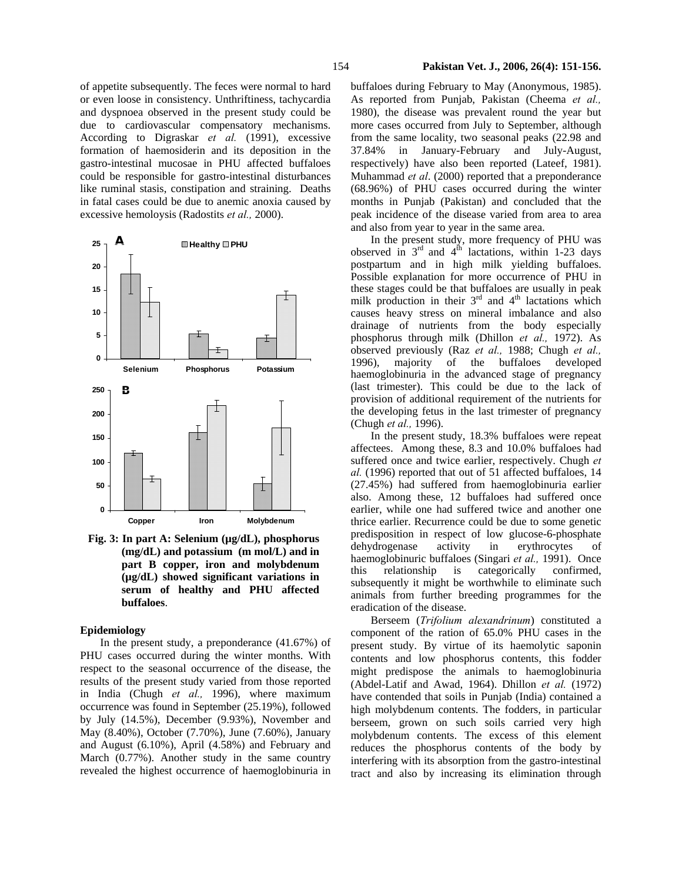of appetite subsequently. The feces were normal to hard or even loose in consistency. Unthriftiness, tachycardia and dyspnoea observed in the present study could be due to cardiovascular compensatory mechanisms. According to Digraskar *et al.* (1991), excessive formation of haemosiderin and its deposition in the gastro-intestinal mucosae in PHU affected buffaloes could be responsible for gastro-intestinal disturbances like ruminal stasis, constipation and straining. Deaths in fatal cases could be due to anemic anoxia caused by excessive hemoloysis (Radostits *et al.,* 2000).



**Fig. 3: In part A: Selenium (µg/dL), phosphorus (mg/dL) and potassium (m mol/L) and in part B copper, iron and molybdenum (µg/dL) showed significant variations in serum of healthy and PHU affected buffaloes**.

## **Epidemiology**

In the present study, a preponderance (41.67%) of PHU cases occurred during the winter months. With respect to the seasonal occurrence of the disease, the results of the present study varied from those reported in India (Chugh *et al.,* 1996), where maximum occurrence was found in September (25.19%), followed by July (14.5%), December (9.93%), November and May (8.40%), October (7.70%), June (7.60%), January and August (6.10%), April (4.58%) and February and March (0.77%). Another study in the same country revealed the highest occurrence of haemoglobinuria in buffaloes during February to May (Anonymous, 1985). As reported from Punjab, Pakistan (Cheema *et al.,*  1980), the disease was prevalent round the year but more cases occurred from July to September, although from the same locality, two seasonal peaks (22.98 and 37.84% in January-February and July-August, respectively) have also been reported (Lateef, 1981). Muhammad *et al*. (2000) reported that a preponderance (68.96%) of PHU cases occurred during the winter months in Punjab (Pakistan) and concluded that the peak incidence of the disease varied from area to area and also from year to year in the same area.

In the present study, more frequency of PHU was observed in  $3<sup>rd</sup>$  and  $4<sup>th</sup>$  lactations, within 1-23 days postpartum and in high milk yielding buffaloes. Possible explanation for more occurrence of PHU in these stages could be that buffaloes are usually in peak milk production in their  $3<sup>rd</sup>$  and  $4<sup>th</sup>$  lactations which causes heavy stress on mineral imbalance and also drainage of nutrients from the body especially phosphorus through milk (Dhillon *et al.,* 1972). As observed previously (Raz *et al.,* 1988; Chugh *et al.,*  1996), majority of the buffaloes developed haemoglobinuria in the advanced stage of pregnancy (last trimester). This could be due to the lack of provision of additional requirement of the nutrients for the developing fetus in the last trimester of pregnancy (Chugh *et al.,* 1996).

In the present study, 18.3% buffaloes were repeat affectees. Among these, 8.3 and 10.0% buffaloes had suffered once and twice earlier, respectively. Chugh *et al.* (1996) reported that out of 51 affected buffaloes, 14 (27.45%) had suffered from haemoglobinuria earlier also. Among these, 12 buffaloes had suffered once earlier, while one had suffered twice and another one thrice earlier. Recurrence could be due to some genetic predisposition in respect of low glucose-6-phosphate dehydrogenase activity in erythrocytes of haemoglobinuric buffaloes (Singari *et al.,* 1991). Once this relationship is categorically confirmed, subsequently it might be worthwhile to eliminate such animals from further breeding programmes for the eradication of the disease.

Berseem (*Trifolium alexandrinum*) constituted a component of the ration of 65.0% PHU cases in the present study. By virtue of its haemolytic saponin contents and low phosphorus contents, this fodder might predispose the animals to haemoglobinuria (Abdel-Latif and Awad, 1964). Dhillon *et al.* (1972) have contended that soils in Punjab (India) contained a high molybdenum contents. The fodders, in particular berseem, grown on such soils carried very high molybdenum contents. The excess of this element reduces the phosphorus contents of the body by interfering with its absorption from the gastro-intestinal tract and also by increasing its elimination through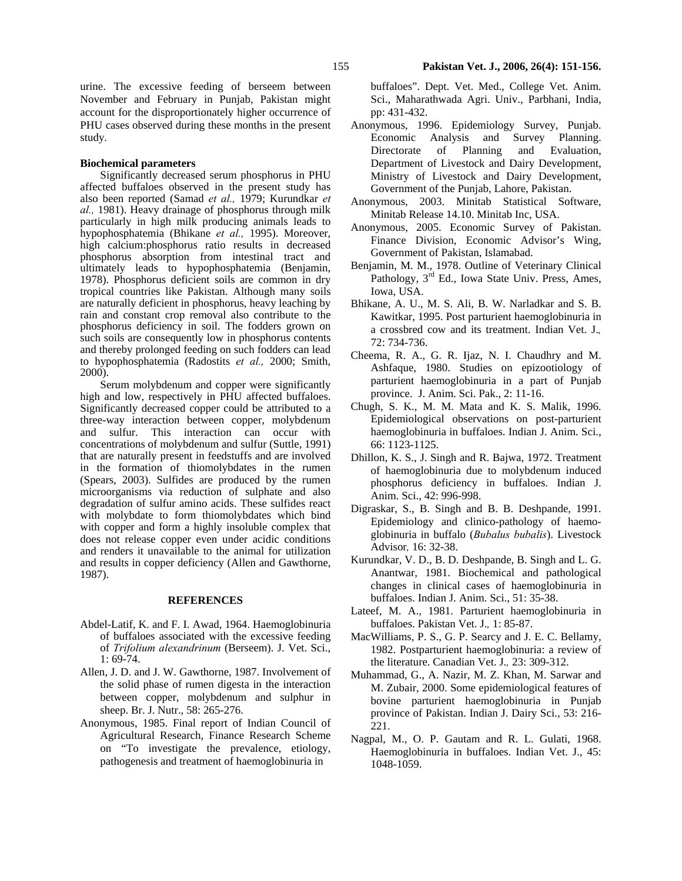urine. The excessive feeding of berseem between November and February in Punjab, Pakistan might account for the disproportionately higher occurrence of PHU cases observed during these months in the present study.

#### **Biochemical parameters**

Significantly decreased serum phosphorus in PHU affected buffaloes observed in the present study has also been reported (Samad *et al.,* 1979; Kurundkar *et al.,* 1981). Heavy drainage of phosphorus through milk particularly in high milk producing animals leads to hypophosphatemia (Bhikane *et al.,* 1995). Moreover, high calcium:phosphorus ratio results in decreased phosphorus absorption from intestinal tract and ultimately leads to hypophosphatemia (Benjamin, 1978). Phosphorus deficient soils are common in dry tropical countries like Pakistan. Although many soils are naturally deficient in phosphorus, heavy leaching by rain and constant crop removal also contribute to the phosphorus deficiency in soil. The fodders grown on such soils are consequently low in phosphorus contents and thereby prolonged feeding on such fodders can lead to hypophosphatemia (Radostits *et al.,* 2000; Smith, 2000).

Serum molybdenum and copper were significantly high and low, respectively in PHU affected buffaloes. Significantly decreased copper could be attributed to a three-way interaction between copper, molybdenum and sulfur. This interaction can occur with concentrations of molybdenum and sulfur (Suttle, 1991) that are naturally present in feedstuffs and are involved in the formation of thiomolybdates in the rumen (Spears, 2003). Sulfides are produced by the rumen microorganisms via reduction of sulphate and also degradation of sulfur amino acids. These sulfides react with molybdate to form thiomolybdates which bind with copper and form a highly insoluble complex that does not release copper even under acidic conditions and renders it unavailable to the animal for utilization and results in copper deficiency (Allen and Gawthorne, 1987).

## **REFERENCES**

- Abdel-Latif, K. and F. I. Awad, 1964. Haemoglobinuria of buffaloes associated with the excessive feeding of *Trifolium alexandrinum* (Berseem). J. Vet. Sci., 1: 69-74.
- Allen, J. D. and J. W. Gawthorne, 1987. Involvement of the solid phase of rumen digesta in the interaction between copper, molybdenum and sulphur in sheep. Br. J. Nutr., 58: 265-276.
- Anonymous, 1985. Final report of Indian Council of Agricultural Research, Finance Research Scheme on "To investigate the prevalence, etiology, pathogenesis and treatment of haemoglobinuria in

 buffaloes". Dept. Vet. Med., College Vet. Anim. Sci., Maharathwada Agri. Univ., Parbhani, India, pp: 431-432.

- Anonymous, 1996. Epidemiology Survey, Punjab. Economic Analysis and Survey Planning. Directorate of Planning and Evaluation, Department of Livestock and Dairy Development, Ministry of Livestock and Dairy Development, Government of the Punjab, Lahore, Pakistan.
- Anonymous, 2003. Minitab Statistical Software, Minitab Release 14.10. Minitab Inc, USA.
- Anonymous, 2005. Economic Survey of Pakistan. Finance Division, Economic Advisor's Wing, Government of Pakistan, Islamabad.
- Benjamin, M. M., 1978. Outline of Veterinary Clinical Pathology, 3<sup>rd</sup> Ed., Iowa State Univ. Press, Ames, Iowa, USA.
- Bhikane, A. U., M. S. Ali, B. W. Narladkar and S. B. Kawitkar, 1995. Post parturient haemoglobinuria in a crossbred cow and its treatment. Indian Vet. J.*,*  72: 734-736.
- Cheema, R. A., G. R. Ijaz, N. I. Chaudhry and M. Ashfaque, 1980. Studies on epizootiology of parturient haemoglobinuria in a part of Punjab province. J. Anim. Sci. Pak., 2: 11-16.
- Chugh, S. K., M. M. Mata and K. S. Malik, 1996. Epidemiological observations on post-parturient haemoglobinuria in buffaloes. Indian J. Anim. Sci., 66: 1123-1125.
- Dhillon, K. S., J. Singh and R. Bajwa, 1972. Treatment of haemoglobinuria due to molybdenum induced phosphorus deficiency in buffaloes. Indian J. Anim. Sci., 42: 996-998.
- Digraskar, S., B. Singh and B. B. Deshpande, 1991. Epidemiology and clinico-pathology of haemoglobinuria in buffalo (*Bubalus bubalis*). Livestock Advisor*,* 16: 32-38.
- Kurundkar, V. D., B. D. Deshpande, B. Singh and L. G. Anantwar, 1981. Biochemical and pathological changes in clinical cases of haemoglobinuria in buffaloes. Indian J. Anim. Sci., 51: 35-38.
- Lateef, M. A., 1981. Parturient haemoglobinuria in buffaloes. Pakistan Vet. J.*,* 1: 85-87.
- MacWilliams, P. S., G. P. Searcy and J. E. C. Bellamy, 1982. Postparturient haemoglobinuria: a review of the literature. Canadian Vet. J.*,* 23: 309-312.
- Muhammad, G., A. Nazir, M. Z. Khan, M. Sarwar and M. Zubair, 2000. Some epidemiological features of bovine parturient haemoglobinuria in Punjab province of Pakistan. Indian J. Dairy Sci., 53: 216- 221.
- Nagpal, M., O. P. Gautam and R. L. Gulati, 1968. Haemoglobinuria in buffaloes. Indian Vet. J., 45: 1048-1059.